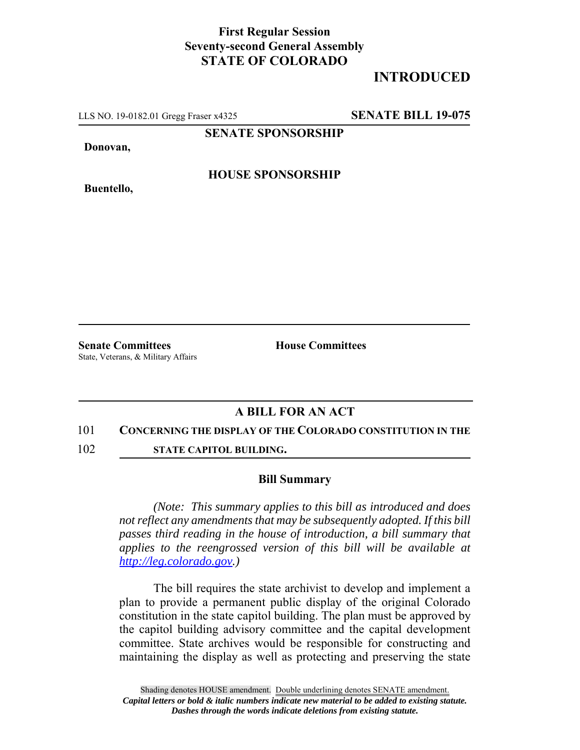## **First Regular Session Seventy-second General Assembly STATE OF COLORADO**

# **INTRODUCED**

LLS NO. 19-0182.01 Gregg Fraser x4325 **SENATE BILL 19-075**

**SENATE SPONSORSHIP**

**Donovan,**

**HOUSE SPONSORSHIP**

**Buentello,**

**Senate Committees House Committees** State, Veterans, & Military Affairs

## **A BILL FOR AN ACT**

#### 101 **CONCERNING THE DISPLAY OF THE COLORADO CONSTITUTION IN THE**

102 **STATE CAPITOL BUILDING.**

### **Bill Summary**

*(Note: This summary applies to this bill as introduced and does not reflect any amendments that may be subsequently adopted. If this bill passes third reading in the house of introduction, a bill summary that applies to the reengrossed version of this bill will be available at http://leg.colorado.gov.)*

The bill requires the state archivist to develop and implement a plan to provide a permanent public display of the original Colorado constitution in the state capitol building. The plan must be approved by the capitol building advisory committee and the capital development committee. State archives would be responsible for constructing and maintaining the display as well as protecting and preserving the state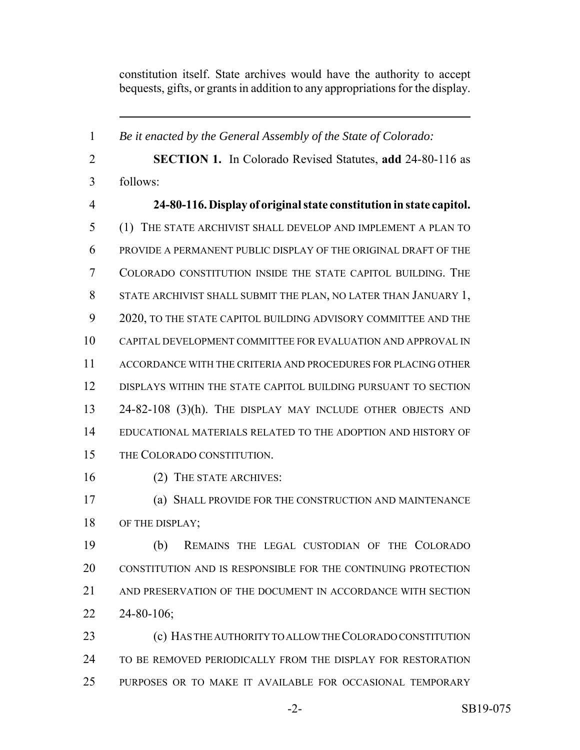constitution itself. State archives would have the authority to accept bequests, gifts, or grants in addition to any appropriations for the display.

 *Be it enacted by the General Assembly of the State of Colorado:* **SECTION 1.** In Colorado Revised Statutes, **add** 24-80-116 as follows: **24-80-116. Display of original state constitution in state capitol.** (1) THE STATE ARCHIVIST SHALL DEVELOP AND IMPLEMENT A PLAN TO PROVIDE A PERMANENT PUBLIC DISPLAY OF THE ORIGINAL DRAFT OF THE COLORADO CONSTITUTION INSIDE THE STATE CAPITOL BUILDING. THE STATE ARCHIVIST SHALL SUBMIT THE PLAN, NO LATER THAN JANUARY 1, 2020, TO THE STATE CAPITOL BUILDING ADVISORY COMMITTEE AND THE CAPITAL DEVELOPMENT COMMITTEE FOR EVALUATION AND APPROVAL IN ACCORDANCE WITH THE CRITERIA AND PROCEDURES FOR PLACING OTHER DISPLAYS WITHIN THE STATE CAPITOL BUILDING PURSUANT TO SECTION 24-82-108 (3)(h). THE DISPLAY MAY INCLUDE OTHER OBJECTS AND EDUCATIONAL MATERIALS RELATED TO THE ADOPTION AND HISTORY OF THE COLORADO CONSTITUTION. (2) THE STATE ARCHIVES: (a) SHALL PROVIDE FOR THE CONSTRUCTION AND MAINTENANCE 18 OF THE DISPLAY; (b) REMAINS THE LEGAL CUSTODIAN OF THE COLORADO CONSTITUTION AND IS RESPONSIBLE FOR THE CONTINUING PROTECTION AND PRESERVATION OF THE DOCUMENT IN ACCORDANCE WITH SECTION 24-80-106; (c) HAS THE AUTHORITY TO ALLOW THE COLORADO CONSTITUTION TO BE REMOVED PERIODICALLY FROM THE DISPLAY FOR RESTORATION PURPOSES OR TO MAKE IT AVAILABLE FOR OCCASIONAL TEMPORARY